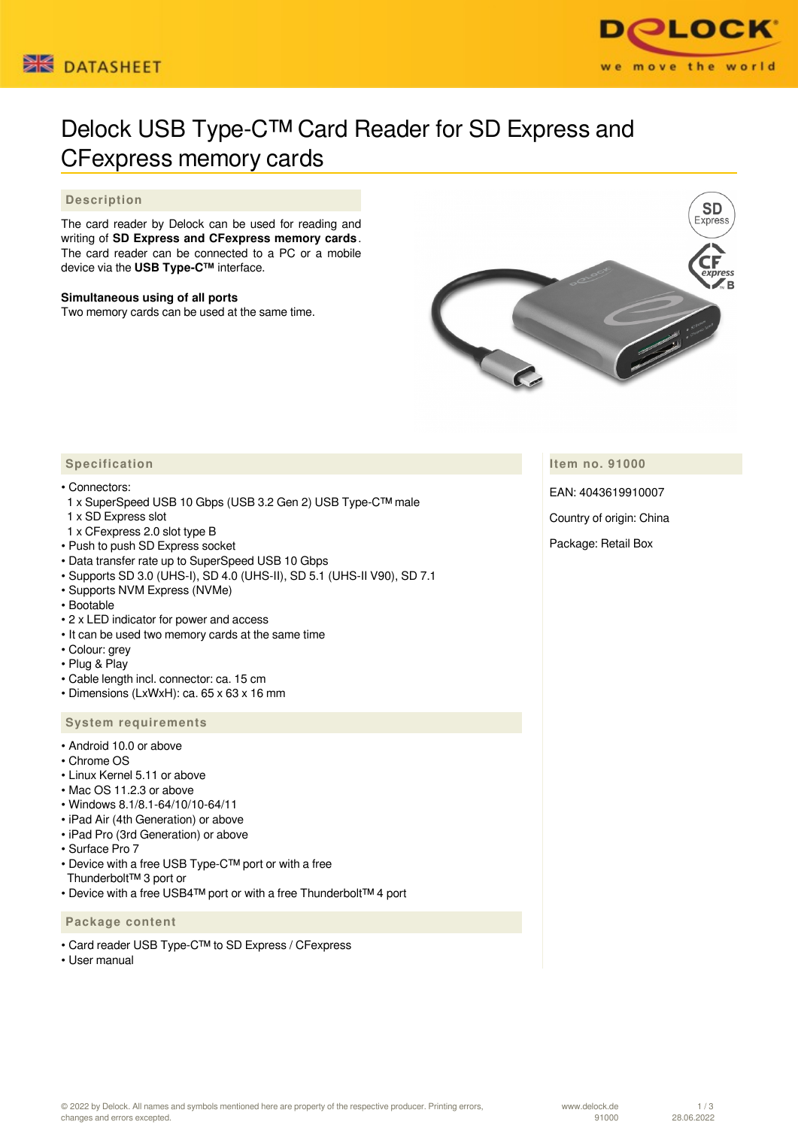



# Delock USB Type-C™ Card Reader for SD Express and CFexpress memory cards

## **Description**

The card reader by Delock can be used for reading and writing of **SD Express and CFexpress memory cards** . The card reader can be connected to a PC or a mobile device via the **USB Type-C™** interface.

#### **Simultaneous using of all ports**

Two memory cards can be used at the same time.



**Item no. 91000**

EAN: 4043619910007

Country of origin: China

Package: Retail Box

# **Specification**

#### • Connectors:

- 1 x SuperSpeed USB 10 Gbps (USB 3.2 Gen 2) USB Type-C™ male
- 1 x SD Express slot
- 1 x CFexpress 2.0 slot type B
- Push to push SD Express socket
- Data transfer rate up to SuperSpeed USB 10 Gbps
- Supports SD 3.0 (UHS-I), SD 4.0 (UHS-II), SD 5.1 (UHS-II V90), SD 7.1
- Supports NVM Express (NVMe)
- Bootable
- 2 x LED indicator for power and access
- It can be used two memory cards at the same time
- Colour: grey
- Plug & Play
- Cable length incl. connector: ca. 15 cm
- Dimensions (LxWxH): ca. 65 x 63 x 16 mm

#### **System requirements**

- Android 10.0 or above
- Chrome OS
- Linux Kernel 5.11 or above
- Mac OS 11.2.3 or above
- Windows 8.1/8.1-64/10/10-64/11
- iPad Air (4th Generation) or above
- iPad Pro (3rd Generation) or above
- Surface Pro 7
- Device with a free USB Type-C™ port or with a free Thunderbolt™ 3 port or
- Device with a free USB4™ port or with a free Thunderbolt™ 4 port

### **Package content**

- Card reader USB Type-C™ to SD Express / CFexpress
- User manual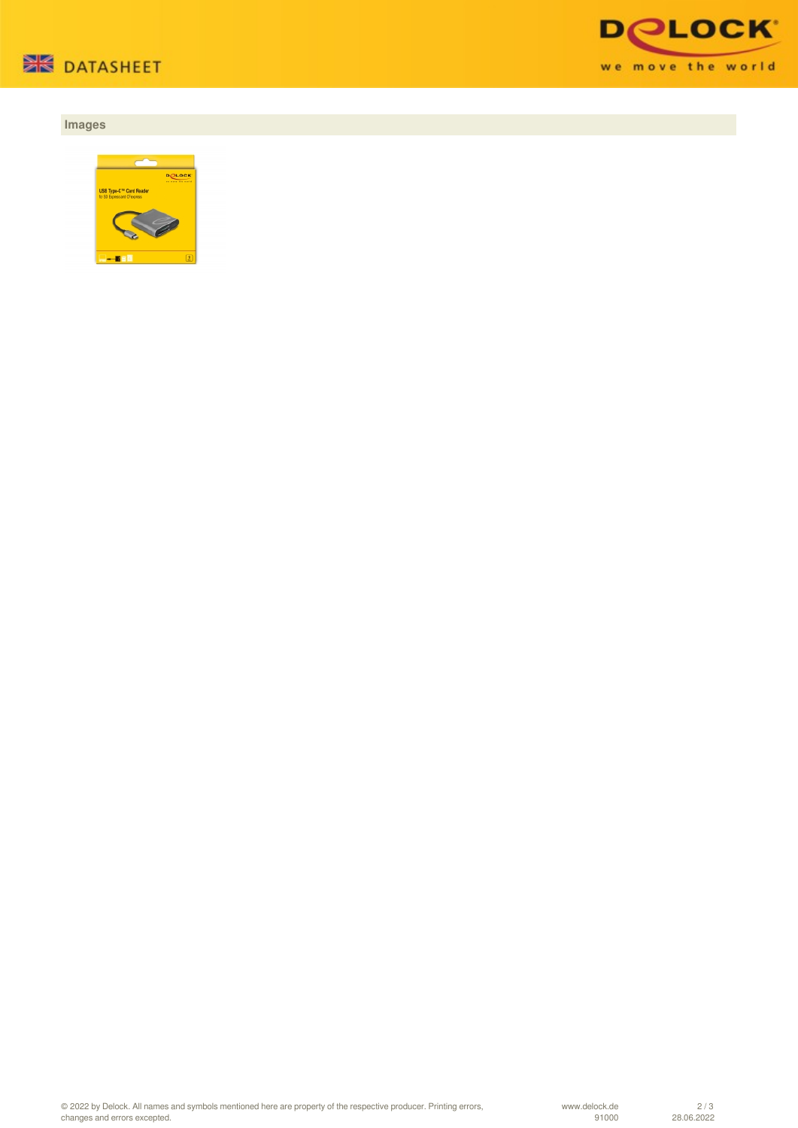

# **Images**